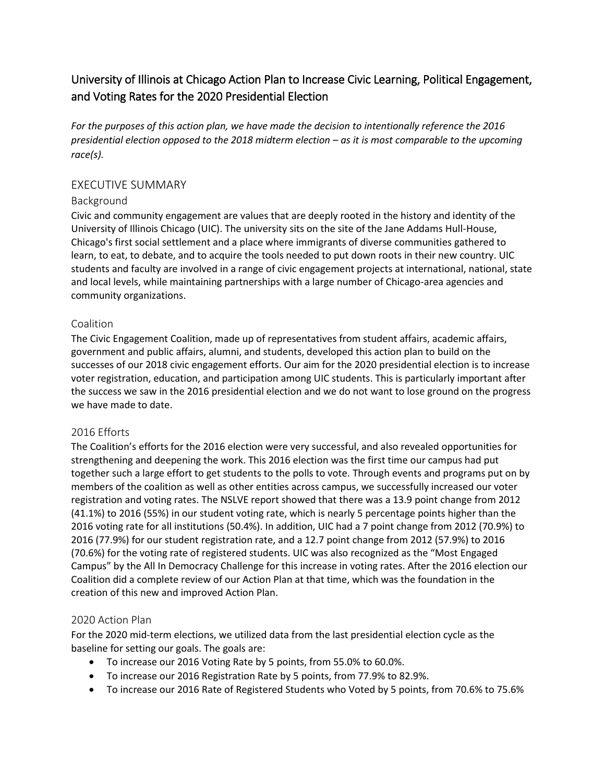# University of Illinois at Chicago Action Plan to Increase Civic Learning, Political Engagement, and Voting Rates for the 2020 Presidential Election

*For the purposes of this action plan, we have made the decision to intentionally reference the 2016 presidential election opposed to the 2018 midterm election – as it is most comparable to the upcoming race(s).* 

## EXECUTIVE SUMMARY

### Background

Civic and community engagement are values that are deeply rooted in the history and identity of the University of Illinois Chicago (UIC). The university sits on the site of the Jane Addams Hull-House, Chicago's first social settlement and a place where immigrants of diverse communities gathered to learn, to eat, to debate, and to acquire the tools needed to put down roots in their new country. UIC students and faculty are involved in a range of civic engagement projects at international, national, state and local levels, while maintaining partnerships with a large number of Chicago-area agencies and community organizations.

### Coalition

The Civic Engagement Coalition, made up of representatives from student affairs, academic affairs, government and public affairs, alumni, and students, developed this action plan to build on the successes of our 2018 civic engagement efforts. Our aim for the 2020 presidential election is to increase voter registration, education, and participation among UIC students. This is particularly important after the success we saw in the 2016 presidential election and we do not want to lose ground on the progress we have made to date.

### 2016 Efforts

The Coalition's efforts for the 2016 election were very successful, and also revealed opportunities for strengthening and deepening the work. This 2016 election was the first time our campus had put together such a large effort to get students to the polls to vote. Through events and programs put on by members of the coalition as well as other entities across campus, we successfully increased our voter registration and voting rates. The NSLVE report showed that there was a 13.9 point change from 2012 (41.1%) to 2016 (55%) in our student voting rate, which is nearly 5 percentage points higher than the 2016 voting rate for all institutions (50.4%). In addition, UIC had a 7 point change from 2012 (70.9%) to 2016 (77.9%) for our student registration rate, and a 12.7 point change from 2012 (57.9%) to 2016 (70.6%) for the voting rate of registered students. UIC was also recognized as the "Most Engaged Campus" by the All In Democracy Challenge for this increase in voting rates. After the 2016 election our Coalition did a complete review of our Action Plan at that time, which was the foundation in the creation of this new and improved Action Plan.

# 2020 Action Plan

For the 2020 mid-term elections, we utilized data from the last presidential election cycle as the baseline for setting our goals. The goals are:

- To increase our 2016 Voting Rate by 5 points, from 55.0% to 60.0%.
- To increase our 2016 Registration Rate by 5 points, from 77.9% to 82.9%.
- To increase our 2016 Rate of Registered Students who Voted by 5 points, from 70.6% to 75.6%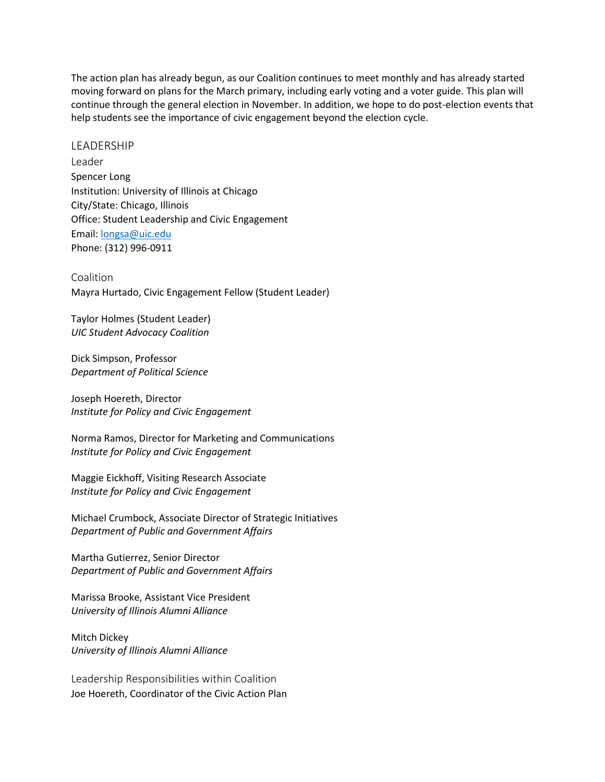The action plan has already begun, as our Coalition continues to meet monthly and has already started moving forward on plans for the March primary, including early voting and a voter guide. This plan will continue through the general election in November. In addition, we hope to do post-election events that help students see the importance of civic engagement beyond the election cycle.

#### LEADERSHIP

Leader Spencer Long Institution: University of Illinois at Chicago City/State: Chicago, Illinois Office: Student Leadership and Civic Engagement Email: [longsa@uic.edu](mailto:longsa@uic.edu) Phone: (312) 996-0911

Coalition Mayra Hurtado, Civic Engagement Fellow (Student Leader)

Taylor Holmes (Student Leader) *UIC Student Advocacy Coalition*

Dick Simpson, Professor *Department of Political Science*

Joseph Hoereth, Director *Institute for Policy and Civic Engagement*

Norma Ramos, Director for Marketing and Communications *Institute for Policy and Civic Engagement*

Maggie Eickhoff, Visiting Research Associate *Institute for Policy and Civic Engagement* 

Michael Crumbock, Associate Director of Strategic Initiatives *Department of Public and Government Affairs* 

Martha Gutierrez, Senior Director *Department of Public and Government Affairs* 

Marissa Brooke, Assistant Vice President *University of Illinois Alumni Alliance*

Mitch Dickey *University of Illinois Alumni Alliance*

Leadership Responsibilities within Coalition Joe Hoereth, Coordinator of the Civic Action Plan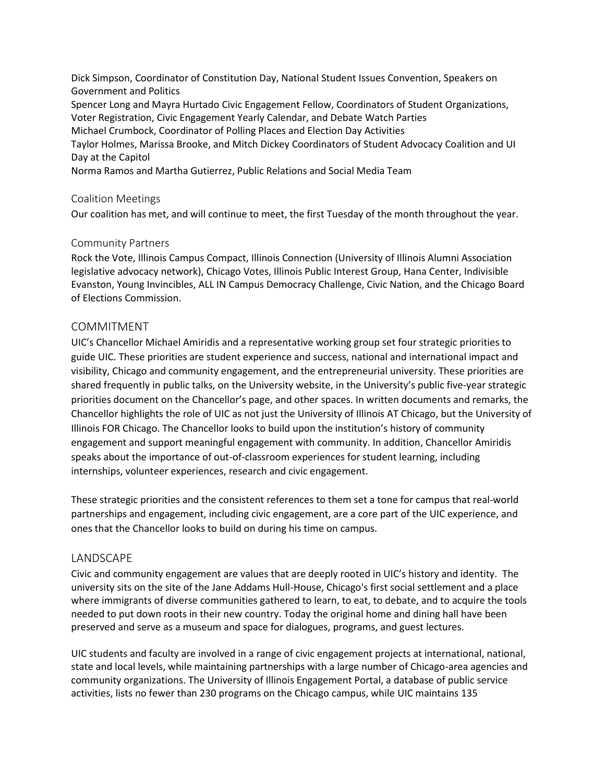Dick Simpson, Coordinator of Constitution Day, National Student Issues Convention, Speakers on Government and Politics Spencer Long and Mayra Hurtado Civic Engagement Fellow, Coordinators of Student Organizations, Voter Registration, Civic Engagement Yearly Calendar, and Debate Watch Parties Michael Crumbock, Coordinator of Polling Places and Election Day Activities Taylor Holmes, Marissa Brooke, and Mitch Dickey Coordinators of Student Advocacy Coalition and UI Day at the Capitol Norma Ramos and Martha Gutierrez, Public Relations and Social Media Team

### Coalition Meetings

Our coalition has met, and will continue to meet, the first Tuesday of the month throughout the year.

#### Community Partners

Rock the Vote, Illinois Campus Compact, Illinois Connection (University of Illinois Alumni Association legislative advocacy network), Chicago Votes, Illinois Public Interest Group, Hana Center, Indivisible Evanston, Young Invincibles, ALL IN Campus Democracy Challenge, Civic Nation, and the Chicago Board of Elections Commission.

#### COMMITMENT

UIC's Chancellor Michael Amiridis and a representative working group set four strategic priorities to guide UIC. These priorities are student experience and success, national and international impact and visibility, Chicago and community engagement, and the entrepreneurial university. These priorities are shared frequently in public talks, on the University website, in the University's public five-year strategic priorities document on the Chancellor's page, and other spaces. In written documents and remarks, the Chancellor highlights the role of UIC as not just the University of Illinois AT Chicago, but the University of Illinois FOR Chicago. The Chancellor looks to build upon the institution's history of community engagement and support meaningful engagement with community. In addition, Chancellor Amiridis speaks about the importance of out-of-classroom experiences for student learning, including internships, volunteer experiences, research and civic engagement.

These strategic priorities and the consistent references to them set a tone for campus that real-world partnerships and engagement, including civic engagement, are a core part of the UIC experience, and ones that the Chancellor looks to build on during his time on campus.

### LANDSCAPE

Civic and community engagement are values that are deeply rooted in UIC's history and identity. The university sits on the site of the Jane Addams Hull-House, Chicago's first social settlement and a place where immigrants of diverse communities gathered to learn, to eat, to debate, and to acquire the tools needed to put down roots in their new country. Today the original home and dining hall have been preserved and serve as a museum and space for dialogues, programs, and guest lectures.

UIC students and faculty are involved in a range of civic engagement projects at international, national, state and local levels, while maintaining partnerships with a large number of Chicago-area agencies and community organizations. The University of Illinois Engagement Portal, a database of public service activities, lists no fewer than 230 programs on the Chicago campus, while UIC maintains 135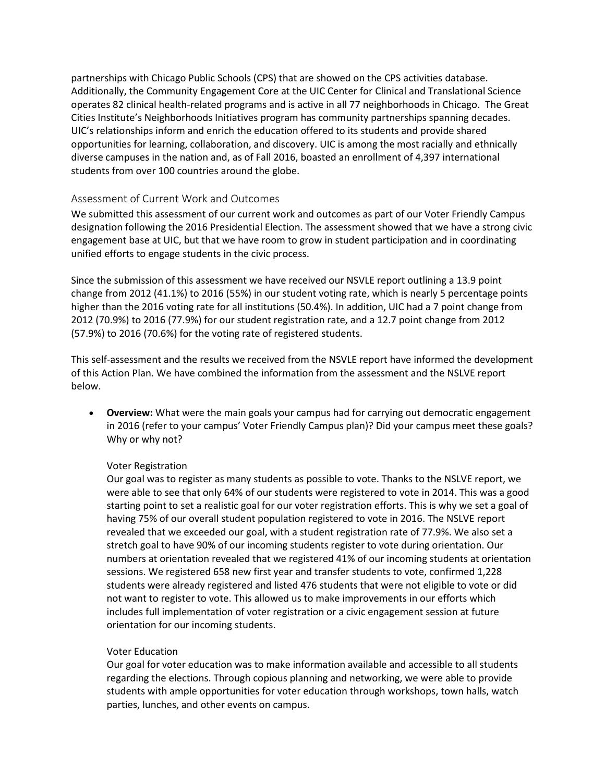partnerships with Chicago Public Schools (CPS) that are showed on the CPS activities database. Additionally, the Community Engagement Core at the UIC Center for Clinical and Translational Science operates 82 clinical health-related programs and is active in all 77 neighborhoods in Chicago. The Great Cities Institute's Neighborhoods Initiatives program has community partnerships spanning decades. UIC's relationships inform and enrich the education offered to its students and provide shared opportunities for learning, collaboration, and discovery. UIC is among the most racially and ethnically diverse campuses in the nation and, as of Fall 2016, boasted an enrollment of 4,397 international students from over 100 countries around the globe.

### Assessment of Current Work and Outcomes

We submitted this assessment of our current work and outcomes as part of our Voter Friendly Campus designation following the 2016 Presidential Election. The assessment showed that we have a strong civic engagement base at UIC, but that we have room to grow in student participation and in coordinating unified efforts to engage students in the civic process.

Since the submission of this assessment we have received our NSVLE report outlining a 13.9 point change from 2012 (41.1%) to 2016 (55%) in our student voting rate, which is nearly 5 percentage points higher than the 2016 voting rate for all institutions (50.4%). In addition, UIC had a 7 point change from 2012 (70.9%) to 2016 (77.9%) for our student registration rate, and a 12.7 point change from 2012 (57.9%) to 2016 (70.6%) for the voting rate of registered students.

This self-assessment and the results we received from the NSVLE report have informed the development of this Action Plan. We have combined the information from the assessment and the NSLVE report below.

 **Overview:** What were the main goals your campus had for carrying out democratic engagement in 2016 (refer to your campus' Voter Friendly Campus plan)? Did your campus meet these goals? Why or why not?

### Voter Registration

Our goal was to register as many students as possible to vote. Thanks to the NSLVE report, we were able to see that only 64% of our students were registered to vote in 2014. This was a good starting point to set a realistic goal for our voter registration efforts. This is why we set a goal of having 75% of our overall student population registered to vote in 2016. The NSLVE report revealed that we exceeded our goal, with a student registration rate of 77.9%. We also set a stretch goal to have 90% of our incoming students register to vote during orientation. Our numbers at orientation revealed that we registered 41% of our incoming students at orientation sessions. We registered 658 new first year and transfer students to vote, confirmed 1,228 students were already registered and listed 476 students that were not eligible to vote or did not want to register to vote. This allowed us to make improvements in our efforts which includes full implementation of voter registration or a civic engagement session at future orientation for our incoming students.

### Voter Education

Our goal for voter education was to make information available and accessible to all students regarding the elections. Through copious planning and networking, we were able to provide students with ample opportunities for voter education through workshops, town halls, watch parties, lunches, and other events on campus.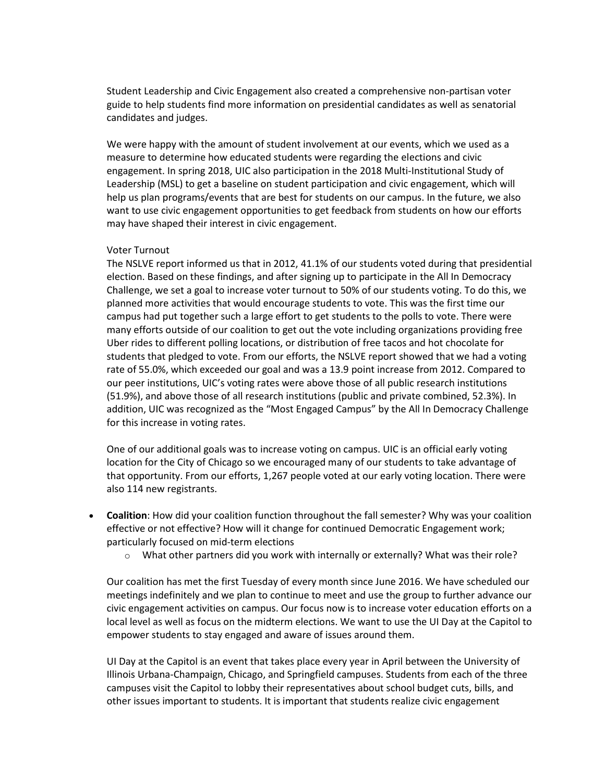Student Leadership and Civic Engagement also created a comprehensive non-partisan voter guide to help students find more information on presidential candidates as well as senatorial candidates and judges.

We were happy with the amount of student involvement at our events, which we used as a measure to determine how educated students were regarding the elections and civic engagement. In spring 2018, UIC also participation in the 2018 Multi-Institutional Study of Leadership (MSL) to get a baseline on student participation and civic engagement, which will help us plan programs/events that are best for students on our campus. In the future, we also want to use civic engagement opportunities to get feedback from students on how our efforts may have shaped their interest in civic engagement.

#### Voter Turnout

The NSLVE report informed us that in 2012, 41.1% of our students voted during that presidential election. Based on these findings, and after signing up to participate in the All In Democracy Challenge, we set a goal to increase voter turnout to 50% of our students voting. To do this, we planned more activities that would encourage students to vote. This was the first time our campus had put together such a large effort to get students to the polls to vote. There were many efforts outside of our coalition to get out the vote including organizations providing free Uber rides to different polling locations, or distribution of free tacos and hot chocolate for students that pledged to vote. From our efforts, the NSLVE report showed that we had a voting rate of 55.0%, which exceeded our goal and was a 13.9 point increase from 2012. Compared to our peer institutions, UIC's voting rates were above those of all public research institutions (51.9%), and above those of all research institutions (public and private combined, 52.3%). In addition, UIC was recognized as the "Most Engaged Campus" by the All In Democracy Challenge for this increase in voting rates.

One of our additional goals was to increase voting on campus. UIC is an official early voting location for the City of Chicago so we encouraged many of our students to take advantage of that opportunity. From our efforts, 1,267 people voted at our early voting location. There were also 114 new registrants.

- **Coalition**: How did your coalition function throughout the fall semester? Why was your coalition effective or not effective? How will it change for continued Democratic Engagement work; particularly focused on mid-term elections
	- $\circ$  What other partners did you work with internally or externally? What was their role?

Our coalition has met the first Tuesday of every month since June 2016. We have scheduled our meetings indefinitely and we plan to continue to meet and use the group to further advance our civic engagement activities on campus. Our focus now is to increase voter education efforts on a local level as well as focus on the midterm elections. We want to use the UI Day at the Capitol to empower students to stay engaged and aware of issues around them.

UI Day at the Capitol is an event that takes place every year in April between the University of Illinois Urbana-Champaign, Chicago, and Springfield campuses. Students from each of the three campuses visit the Capitol to lobby their representatives about school budget cuts, bills, and other issues important to students. It is important that students realize civic engagement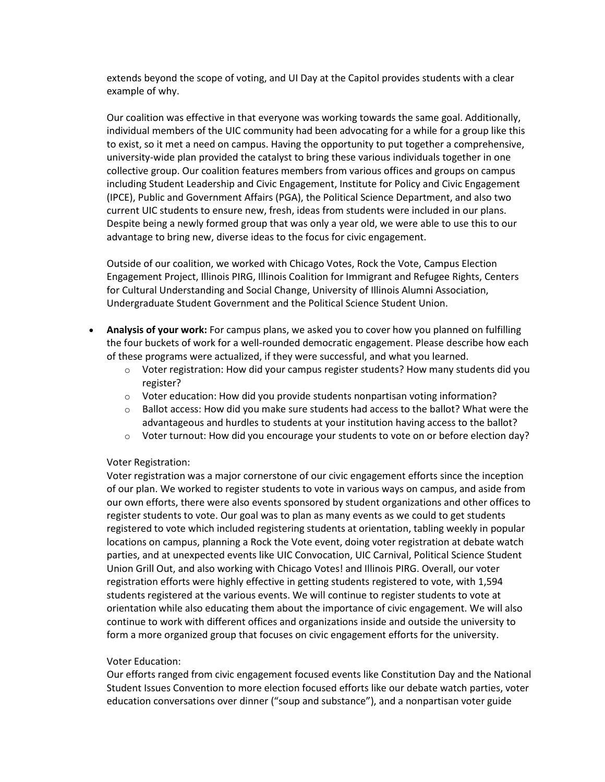extends beyond the scope of voting, and UI Day at the Capitol provides students with a clear example of why.

Our coalition was effective in that everyone was working towards the same goal. Additionally, individual members of the UIC community had been advocating for a while for a group like this to exist, so it met a need on campus. Having the opportunity to put together a comprehensive, university-wide plan provided the catalyst to bring these various individuals together in one collective group. Our coalition features members from various offices and groups on campus including Student Leadership and Civic Engagement, Institute for Policy and Civic Engagement (IPCE), Public and Government Affairs (PGA), the Political Science Department, and also two current UIC students to ensure new, fresh, ideas from students were included in our plans. Despite being a newly formed group that was only a year old, we were able to use this to our advantage to bring new, diverse ideas to the focus for civic engagement.

Outside of our coalition, we worked with Chicago Votes, Rock the Vote, Campus Election Engagement Project, Illinois PIRG, Illinois Coalition for Immigrant and Refugee Rights, Centers for Cultural Understanding and Social Change, University of Illinois Alumni Association, Undergraduate Student Government and the Political Science Student Union.

- **Analysis of your work:** For campus plans, we asked you to cover how you planned on fulfilling the four buckets of work for a well-rounded democratic engagement. Please describe how each of these programs were actualized, if they were successful, and what you learned.
	- $\circ$  Voter registration: How did your campus register students? How many students did you register?
	- o Voter education: How did you provide students nonpartisan voting information?
	- $\circ$  Ballot access: How did you make sure students had access to the ballot? What were the advantageous and hurdles to students at your institution having access to the ballot?
	- $\circ$  Voter turnout: How did you encourage your students to vote on or before election day?

#### Voter Registration:

Voter registration was a major cornerstone of our civic engagement efforts since the inception of our plan. We worked to register students to vote in various ways on campus, and aside from our own efforts, there were also events sponsored by student organizations and other offices to register students to vote. Our goal was to plan as many events as we could to get students registered to vote which included registering students at orientation, tabling weekly in popular locations on campus, planning a Rock the Vote event, doing voter registration at debate watch parties, and at unexpected events like UIC Convocation, UIC Carnival, Political Science Student Union Grill Out, and also working with Chicago Votes! and Illinois PIRG. Overall, our voter registration efforts were highly effective in getting students registered to vote, with 1,594 students registered at the various events. We will continue to register students to vote at orientation while also educating them about the importance of civic engagement. We will also continue to work with different offices and organizations inside and outside the university to form a more organized group that focuses on civic engagement efforts for the university.

#### Voter Education:

Our efforts ranged from civic engagement focused events like Constitution Day and the National Student Issues Convention to more election focused efforts like our debate watch parties, voter education conversations over dinner ("soup and substance"), and a nonpartisan voter guide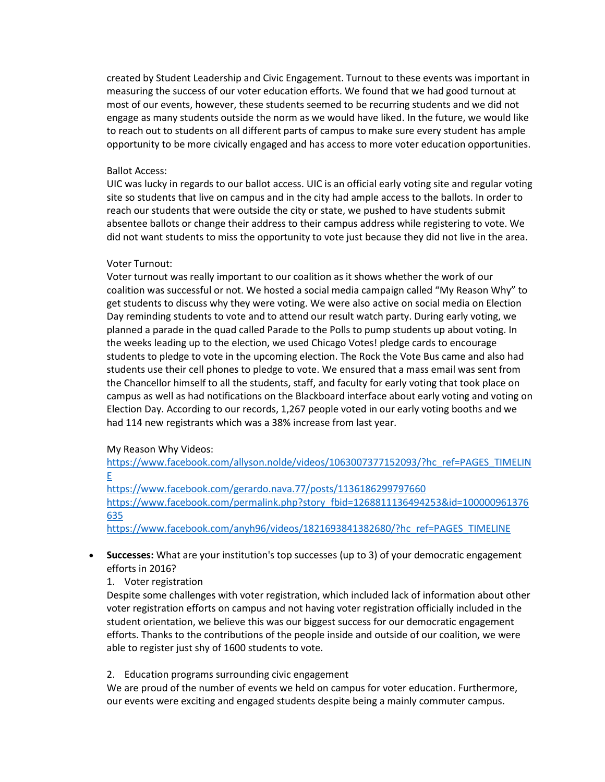created by Student Leadership and Civic Engagement. Turnout to these events was important in measuring the success of our voter education efforts. We found that we had good turnout at most of our events, however, these students seemed to be recurring students and we did not engage as many students outside the norm as we would have liked. In the future, we would like to reach out to students on all different parts of campus to make sure every student has ample opportunity to be more civically engaged and has access to more voter education opportunities.

#### Ballot Access:

UIC was lucky in regards to our ballot access. UIC is an official early voting site and regular voting site so students that live on campus and in the city had ample access to the ballots. In order to reach our students that were outside the city or state, we pushed to have students submit absentee ballots or change their address to their campus address while registering to vote. We did not want students to miss the opportunity to vote just because they did not live in the area.

#### Voter Turnout:

Voter turnout was really important to our coalition as it shows whether the work of our coalition was successful or not. We hosted a social media campaign called "My Reason Why" to get students to discuss why they were voting. We were also active on social media on Election Day reminding students to vote and to attend our result watch party. During early voting, we planned a parade in the quad called Parade to the Polls to pump students up about voting. In the weeks leading up to the election, we used Chicago Votes! pledge cards to encourage students to pledge to vote in the upcoming election. The Rock the Vote Bus came and also had students use their cell phones to pledge to vote. We ensured that a mass email was sent from the Chancellor himself to all the students, staff, and faculty for early voting that took place on campus as well as had notifications on the Blackboard interface about early voting and voting on Election Day. According to our records, 1,267 people voted in our early voting booths and we had 114 new registrants which was a 38% increase from last year.

#### My Reason Why Videos:

[https://www.facebook.com/allyson.nolde/videos/1063007377152093/?hc\\_ref=PAGES\\_TIMELIN](https://www.facebook.com/allyson.nolde/videos/1063007377152093/?hc_ref=PAGES_TIMELINE) [E](https://www.facebook.com/allyson.nolde/videos/1063007377152093/?hc_ref=PAGES_TIMELINE)

<https://www.facebook.com/gerardo.nava.77/posts/1136186299797660> [https://www.facebook.com/permalink.php?story\\_fbid=1268811136494253&id=100000961376](https://www.facebook.com/permalink.php?story_fbid=1268811136494253&id=100000961376635) [635](https://www.facebook.com/permalink.php?story_fbid=1268811136494253&id=100000961376635)

[https://www.facebook.com/anyh96/videos/1821693841382680/?hc\\_ref=PAGES\\_TIMELINE](https://www.facebook.com/anyh96/videos/1821693841382680/?hc_ref=PAGES_TIMELINE)

- **Successes:** What are your institution's top successes (up to 3) of your democratic engagement efforts in 2016?
	- 1. Voter registration

Despite some challenges with voter registration, which included lack of information about other voter registration efforts on campus and not having voter registration officially included in the student orientation, we believe this was our biggest success for our democratic engagement efforts. Thanks to the contributions of the people inside and outside of our coalition, we were able to register just shy of 1600 students to vote.

2. Education programs surrounding civic engagement

We are proud of the number of events we held on campus for voter education. Furthermore, our events were exciting and engaged students despite being a mainly commuter campus.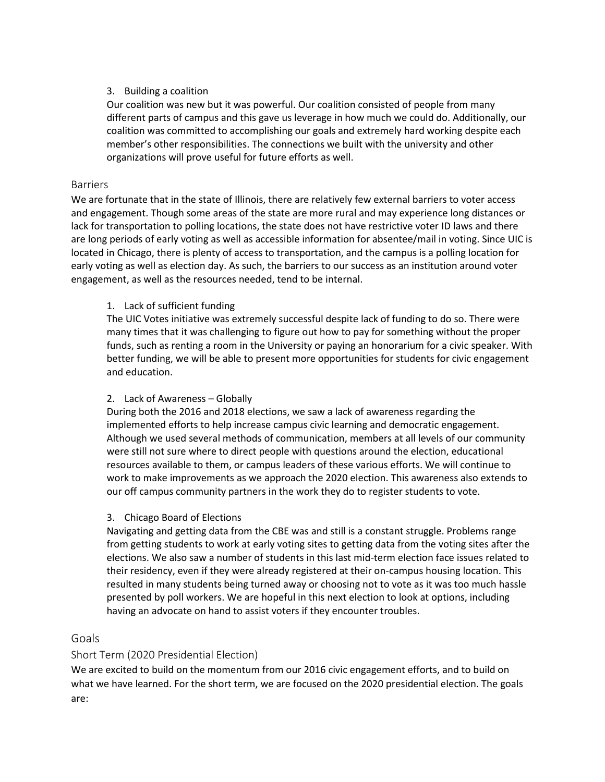### 3. Building a coalition

Our coalition was new but it was powerful. Our coalition consisted of people from many different parts of campus and this gave us leverage in how much we could do. Additionally, our coalition was committed to accomplishing our goals and extremely hard working despite each member's other responsibilities. The connections we built with the university and other organizations will prove useful for future efforts as well.

### Barriers

We are fortunate that in the state of Illinois, there are relatively few external barriers to voter access and engagement. Though some areas of the state are more rural and may experience long distances or lack for transportation to polling locations, the state does not have restrictive voter ID laws and there are long periods of early voting as well as accessible information for absentee/mail in voting. Since UIC is located in Chicago, there is plenty of access to transportation, and the campus is a polling location for early voting as well as election day. As such, the barriers to our success as an institution around voter engagement, as well as the resources needed, tend to be internal.

# 1. Lack of sufficient funding

The UIC Votes initiative was extremely successful despite lack of funding to do so. There were many times that it was challenging to figure out how to pay for something without the proper funds, such as renting a room in the University or paying an honorarium for a civic speaker. With better funding, we will be able to present more opportunities for students for civic engagement and education.

# 2. Lack of Awareness – Globally

During both the 2016 and 2018 elections, we saw a lack of awareness regarding the implemented efforts to help increase campus civic learning and democratic engagement. Although we used several methods of communication, members at all levels of our community were still not sure where to direct people with questions around the election, educational resources available to them, or campus leaders of these various efforts. We will continue to work to make improvements as we approach the 2020 election. This awareness also extends to our off campus community partners in the work they do to register students to vote.

### 3. Chicago Board of Elections

Navigating and getting data from the CBE was and still is a constant struggle. Problems range from getting students to work at early voting sites to getting data from the voting sites after the elections. We also saw a number of students in this last mid-term election face issues related to their residency, even if they were already registered at their on-campus housing location. This resulted in many students being turned away or choosing not to vote as it was too much hassle presented by poll workers. We are hopeful in this next election to look at options, including having an advocate on hand to assist voters if they encounter troubles.

# Goals

# Short Term (2020 Presidential Election)

We are excited to build on the momentum from our 2016 civic engagement efforts, and to build on what we have learned. For the short term, we are focused on the 2020 presidential election. The goals are: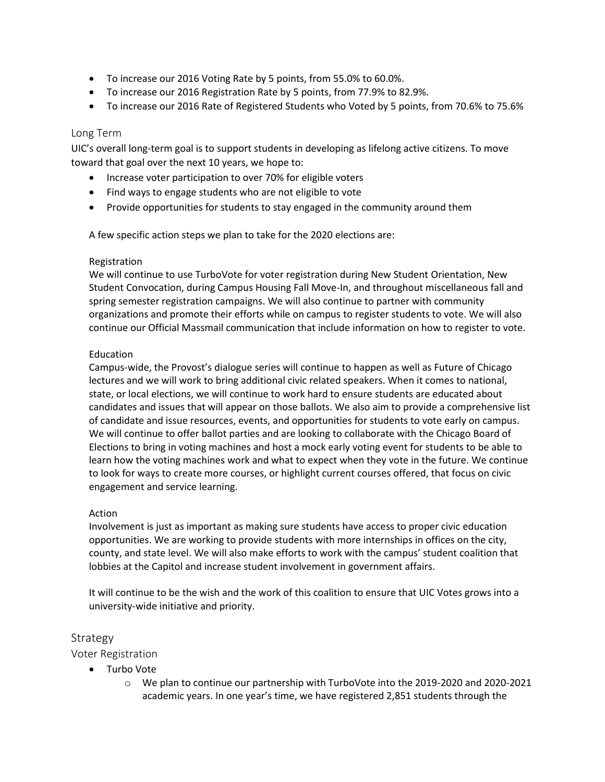- To increase our 2016 Voting Rate by 5 points, from 55.0% to 60.0%.
- To increase our 2016 Registration Rate by 5 points, from 77.9% to 82.9%.
- To increase our 2016 Rate of Registered Students who Voted by 5 points, from 70.6% to 75.6%

### Long Term

UIC's overall long-term goal is to support students in developing as lifelong active citizens. To move toward that goal over the next 10 years, we hope to:

- Increase voter participation to over 70% for eligible voters
- Find ways to engage students who are not eligible to vote
- Provide opportunities for students to stay engaged in the community around them

A few specific action steps we plan to take for the 2020 elections are:

### Registration

We will continue to use TurboVote for voter registration during New Student Orientation, New Student Convocation, during Campus Housing Fall Move-In, and throughout miscellaneous fall and spring semester registration campaigns. We will also continue to partner with community organizations and promote their efforts while on campus to register students to vote. We will also continue our Official Massmail communication that include information on how to register to vote.

#### Education

Campus-wide, the Provost's dialogue series will continue to happen as well as Future of Chicago lectures and we will work to bring additional civic related speakers. When it comes to national, state, or local elections, we will continue to work hard to ensure students are educated about candidates and issues that will appear on those ballots. We also aim to provide a comprehensive list of candidate and issue resources, events, and opportunities for students to vote early on campus. We will continue to offer ballot parties and are looking to collaborate with the Chicago Board of Elections to bring in voting machines and host a mock early voting event for students to be able to learn how the voting machines work and what to expect when they vote in the future. We continue to look for ways to create more courses, or highlight current courses offered, that focus on civic engagement and service learning.

### Action

Involvement is just as important as making sure students have access to proper civic education opportunities. We are working to provide students with more internships in offices on the city, county, and state level. We will also make efforts to work with the campus' student coalition that lobbies at the Capitol and increase student involvement in government affairs.

It will continue to be the wish and the work of this coalition to ensure that UIC Votes grows into a university-wide initiative and priority.

### Strategy

Voter Registration

- Turbo Vote
	- o We plan to continue our partnership with TurboVote into the 2019-2020 and 2020-2021 academic years. In one year's time, we have registered 2,851 students through the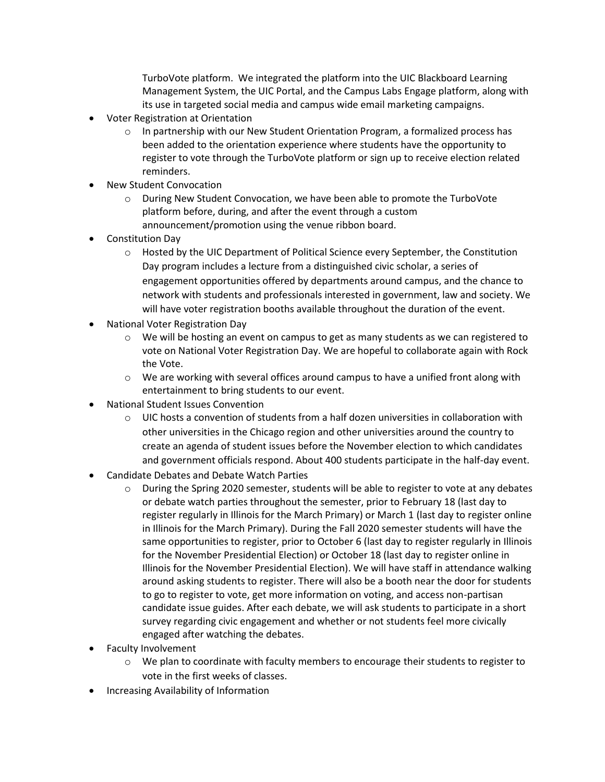TurboVote platform. We integrated the platform into the UIC Blackboard Learning Management System, the UIC Portal, and the Campus Labs Engage platform, along with its use in targeted social media and campus wide email marketing campaigns.

- Voter Registration at Orientation
	- $\circ$  In partnership with our New Student Orientation Program, a formalized process has been added to the orientation experience where students have the opportunity to register to vote through the TurboVote platform or sign up to receive election related reminders.
- New Student Convocation
	- o During New Student Convocation, we have been able to promote the TurboVote platform before, during, and after the event through a custom announcement/promotion using the venue ribbon board.
- Constitution Day
	- $\circ$  Hosted by the UIC Department of Political Science every September, the Constitution Day program includes a lecture from a distinguished civic scholar, a series of engagement opportunities offered by departments around campus, and the chance to network with students and professionals interested in government, law and society. We will have voter registration booths available throughout the duration of the event.
- National Voter Registration Day
	- $\circ$  We will be hosting an event on campus to get as many students as we can registered to vote on National Voter Registration Day. We are hopeful to collaborate again with Rock the Vote.
	- $\circ$  We are working with several offices around campus to have a unified front along with entertainment to bring students to our event.
- National Student Issues Convention
	- $\circ$  UIC hosts a convention of students from a half dozen universities in collaboration with other universities in the Chicago region and other universities around the country to create an agenda of student issues before the November election to which candidates and government officials respond. About 400 students participate in the half-day event.
- Candidate Debates and Debate Watch Parties
	- o During the Spring 2020 semester, students will be able to register to vote at any debates or debate watch parties throughout the semester, prior to February 18 (last day to register regularly in Illinois for the March Primary) or March 1 (last day to register online in Illinois for the March Primary). During the Fall 2020 semester students will have the same opportunities to register, prior to October 6 (last day to register regularly in Illinois for the November Presidential Election) or October 18 (last day to register online in Illinois for the November Presidential Election). We will have staff in attendance walking around asking students to register. There will also be a booth near the door for students to go to register to vote, get more information on voting, and access non-partisan candidate issue guides. After each debate, we will ask students to participate in a short survey regarding civic engagement and whether or not students feel more civically engaged after watching the debates.
- Faculty Involvement
	- $\circ$  We plan to coordinate with faculty members to encourage their students to register to vote in the first weeks of classes.
- Increasing Availability of Information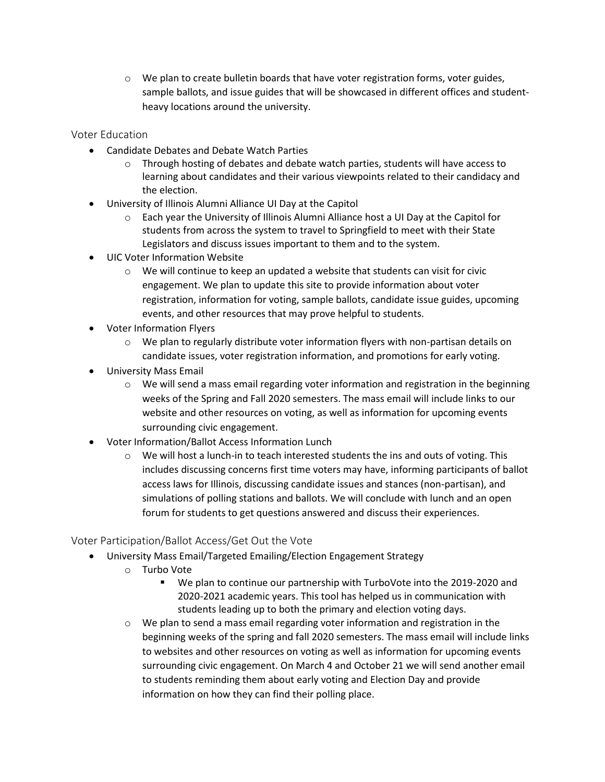$\circ$  We plan to create bulletin boards that have voter registration forms, voter guides, sample ballots, and issue guides that will be showcased in different offices and studentheavy locations around the university.

Voter Education

- Candidate Debates and Debate Watch Parties
	- $\circ$  Through hosting of debates and debate watch parties, students will have access to learning about candidates and their various viewpoints related to their candidacy and the election.
- University of Illinois Alumni Alliance UI Day at the Capitol
	- o Each year the University of Illinois Alumni Alliance host a UI Day at the Capitol for students from across the system to travel to Springfield to meet with their State Legislators and discuss issues important to them and to the system.
- UIC Voter Information Website
	- $\circ$  We will continue to keep an updated a website that students can visit for civic engagement. We plan to update this site to provide information about voter registration, information for voting, sample ballots, candidate issue guides, upcoming events, and other resources that may prove helpful to students.
- Voter Information Flyers
	- $\circ$  We plan to regularly distribute voter information flyers with non-partisan details on candidate issues, voter registration information, and promotions for early voting.
- University Mass Email
	- $\circ$  We will send a mass email regarding voter information and registration in the beginning weeks of the Spring and Fall 2020 semesters. The mass email will include links to our website and other resources on voting, as well as information for upcoming events surrounding civic engagement.
- Voter Information/Ballot Access Information Lunch
	- o We will host a lunch-in to teach interested students the ins and outs of voting. This includes discussing concerns first time voters may have, informing participants of ballot access laws for Illinois, discussing candidate issues and stances (non-partisan), and simulations of polling stations and ballots. We will conclude with lunch and an open forum for students to get questions answered and discuss their experiences.

# Voter Participation/Ballot Access/Get Out the Vote

- University Mass Email/Targeted Emailing/Election Engagement Strategy
	- o Turbo Vote
		- We plan to continue our partnership with TurboVote into the 2019-2020 and 2020-2021 academic years. This tool has helped us in communication with students leading up to both the primary and election voting days.
	- $\circ$  We plan to send a mass email regarding voter information and registration in the beginning weeks of the spring and fall 2020 semesters. The mass email will include links to websites and other resources on voting as well as information for upcoming events surrounding civic engagement. On March 4 and October 21 we will send another email to students reminding them about early voting and Election Day and provide information on how they can find their polling place.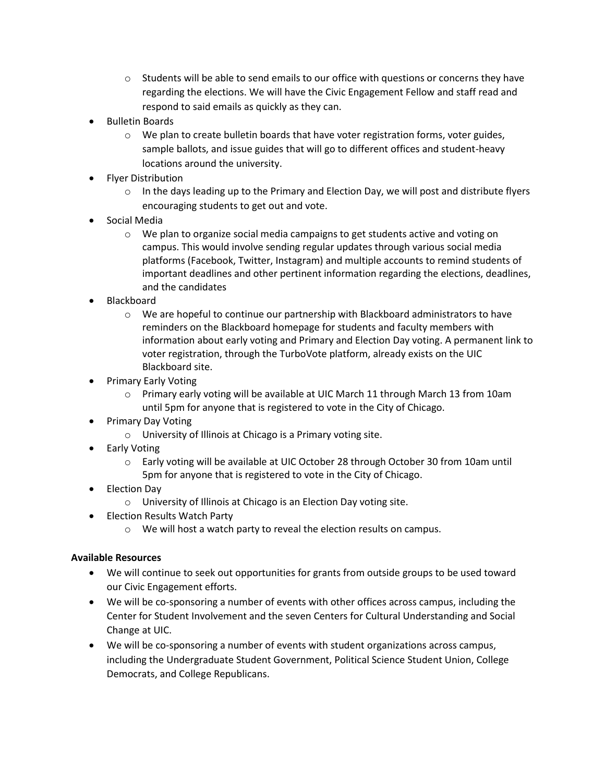- $\circ$  Students will be able to send emails to our office with questions or concerns they have regarding the elections. We will have the Civic Engagement Fellow and staff read and respond to said emails as quickly as they can.
- Bulletin Boards
	- $\circ$  We plan to create bulletin boards that have voter registration forms, voter guides, sample ballots, and issue guides that will go to different offices and student-heavy locations around the university.
- Flyer Distribution
	- $\circ$  In the days leading up to the Primary and Election Day, we will post and distribute flyers encouraging students to get out and vote.
- Social Media
	- $\circ$  We plan to organize social media campaigns to get students active and voting on campus. This would involve sending regular updates through various social media platforms (Facebook, Twitter, Instagram) and multiple accounts to remind students of important deadlines and other pertinent information regarding the elections, deadlines, and the candidates
- Blackboard
	- o We are hopeful to continue our partnership with Blackboard administrators to have reminders on the Blackboard homepage for students and faculty members with information about early voting and Primary and Election Day voting. A permanent link to voter registration, through the TurboVote platform, already exists on the UIC Blackboard site.
- Primary Early Voting
	- o Primary early voting will be available at UIC March 11 through March 13 from 10am until 5pm for anyone that is registered to vote in the City of Chicago.
- Primary Day Voting
	- o University of Illinois at Chicago is a Primary voting site.
- Early Voting
	- o Early voting will be available at UIC October 28 through October 30 from 10am until 5pm for anyone that is registered to vote in the City of Chicago.
- Election Day
	- o University of Illinois at Chicago is an Election Day voting site.
- Election Results Watch Party
	- $\circ$  We will host a watch party to reveal the election results on campus.

# **Available Resources**

- We will continue to seek out opportunities for grants from outside groups to be used toward our Civic Engagement efforts.
- We will be co-sponsoring a number of events with other offices across campus, including the Center for Student Involvement and the seven Centers for Cultural Understanding and Social Change at UIC.
- We will be co-sponsoring a number of events with student organizations across campus, including the Undergraduate Student Government, Political Science Student Union, College Democrats, and College Republicans.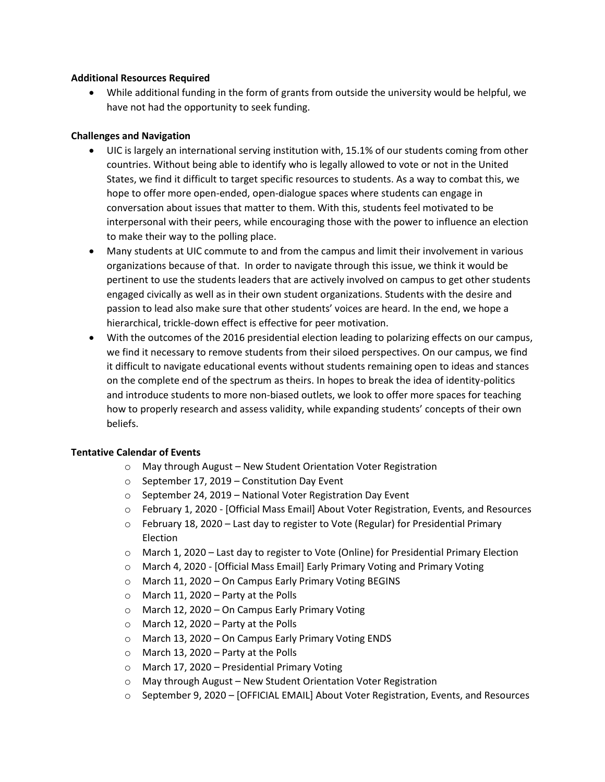### **Additional Resources Required**

 While additional funding in the form of grants from outside the university would be helpful, we have not had the opportunity to seek funding.

### **Challenges and Navigation**

- UIC is largely an international serving institution with, 15.1% of our students coming from other countries. Without being able to identify who is legally allowed to vote or not in the United States, we find it difficult to target specific resources to students. As a way to combat this, we hope to offer more open-ended, open-dialogue spaces where students can engage in conversation about issues that matter to them. With this, students feel motivated to be interpersonal with their peers, while encouraging those with the power to influence an election to make their way to the polling place.
- Many students at UIC commute to and from the campus and limit their involvement in various organizations because of that. In order to navigate through this issue, we think it would be pertinent to use the students leaders that are actively involved on campus to get other students engaged civically as well as in their own student organizations. Students with the desire and passion to lead also make sure that other students' voices are heard. In the end, we hope a hierarchical, trickle-down effect is effective for peer motivation.
- With the outcomes of the 2016 presidential election leading to polarizing effects on our campus, we find it necessary to remove students from their siloed perspectives. On our campus, we find it difficult to navigate educational events without students remaining open to ideas and stances on the complete end of the spectrum as theirs. In hopes to break the idea of identity-politics and introduce students to more non-biased outlets, we look to offer more spaces for teaching how to properly research and assess validity, while expanding students' concepts of their own beliefs.

### **Tentative Calendar of Events**

- o May through August New Student Orientation Voter Registration
- o September 17, 2019 Constitution Day Event
- o September 24, 2019 National Voter Registration Day Event
- o February 1, 2020 [Official Mass Email] About Voter Registration, Events, and Resources
- $\circ$  February 18, 2020 Last day to register to Vote (Regular) for Presidential Primary Election
- o March 1, 2020 Last day to register to Vote (Online) for Presidential Primary Election
- o March 4, 2020 [Official Mass Email] Early Primary Voting and Primary Voting
- o March 11, 2020 On Campus Early Primary Voting BEGINS
- o March 11, 2020 Party at the Polls
- o March 12, 2020 On Campus Early Primary Voting
- o March 12, 2020 Party at the Polls
- o March 13, 2020 On Campus Early Primary Voting ENDS
- o March 13, 2020 Party at the Polls
- o March 17, 2020 Presidential Primary Voting
- o May through August New Student Orientation Voter Registration
- o September 9, 2020 [OFFICIAL EMAIL] About Voter Registration, Events, and Resources